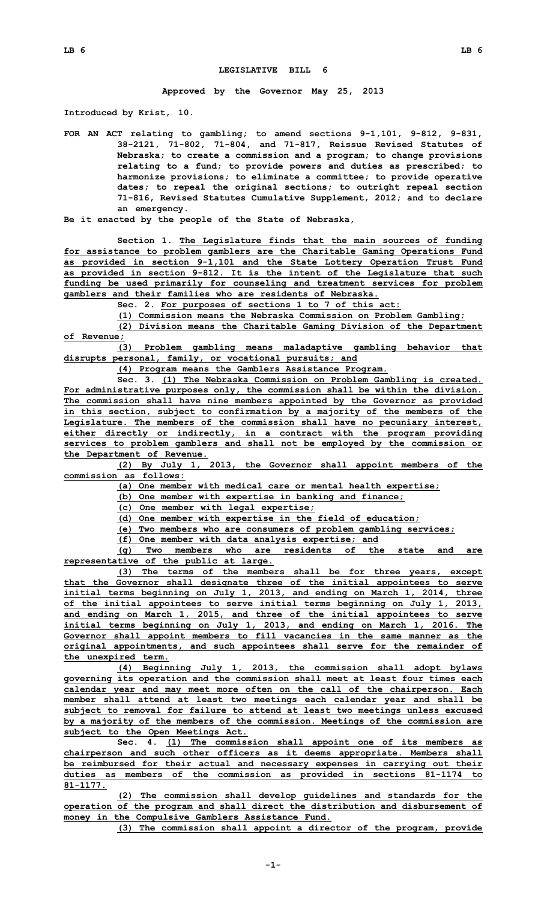## **LEGISLATIVE BILL 6**

**Approved by the Governor May 25, 2013**

**Introduced by Krist, 10.**

- **FOR AN ACT relating to gambling; to amend sections 9-1,101, 9-812, 9-831, 38-2121, 71-802, 71-804, and 71-817, Reissue Revised Statutes of Nebraska; to create <sup>a</sup> commission and <sup>a</sup> program; to change provisions relating to <sup>a</sup> fund; to provide powers and duties as prescribed; to harmonize provisions; to eliminate <sup>a</sup> committee; to provide operative dates; to repeal the original sections; to outright repeal section 71-816, Revised Statutes Cumulative Supplement, 2012; and to declare an emergency.**
- **Be it enacted by the people of the State of Nebraska,**

**Section 1. The Legislature finds that the main sources of funding for assistance to problem gamblers are the Charitable Gaming Operations Fund as provided in section 9-1,101 and the State Lottery Operation Trust Fund as provided in section 9-812. It is the intent of the Legislature that such funding be used primarily for counseling and treatment services for problem gamblers and their families who are residents of Nebraska.**

**Sec. 2. For purposes of sections 1 to 7 of this act:**

**(1) Commission means the Nebraska Commission on Problem Gambling; (2) Division means the Charitable Gaming Division of the Department of Revenue;**

**(3) Problem gambling means maladaptive gambling behavior that disrupts personal, family, or vocational pursuits; and**

**(4) Program means the Gamblers Assistance Program.**

**Sec. 3. (1) The Nebraska Commission on Problem Gambling is created. For administrative purposes only, the commission shall be within the division. The commission shall have nine members appointed by the Governor as provided in this section, subject to confirmation by <sup>a</sup> majority of the members of the Legislature. The members of the commission shall have no pecuniary interest, either directly or indirectly, in <sup>a</sup> contract with the program providing services to problem gamblers and shall not be employed by the commission or the Department of Revenue.**

**(2) By July 1, 2013, the Governor shall appoint members of the commission as follows:**

**(a) One member with medical care or mental health expertise;**

**(b) One member with expertise in banking and finance;**

**(c) One member with legal expertise;**

**(d) One member with expertise in the field of education;**

**(e) Two members who are consumers of problem gambling services;**

**(f) One member with data analysis expertise; and**

**(g) Two members who are residents of the state and are representative of the public at large.**

**(3) The terms of the members shall be for three years, except that the Governor shall designate three of the initial appointees to serve initial terms beginning on July 1, 2013, and ending on March 1, 2014, three of the initial appointees to serve initial terms beginning on July 1, 2013, and ending on March 1, 2015, and three of the initial appointees to serve initial terms beginning on July 1, 2013, and ending on March 1, 2016. The Governor shall appoint members to fill vacancies in the same manner as the original appointments, and such appointees shall serve for the remainder of the unexpired term.**

**(4) Beginning July 1, 2013, the commission shall adopt bylaws governing its operation and the commission shall meet at least four times each calendar year and may meet more often on the call of the chairperson. Each member shall attend at least two meetings each calendar year and shall be subject to removal for failure to attend at least two meetings unless excused by <sup>a</sup> majority of the members of the commission. Meetings of the commission are subject to the Open Meetings Act.**

**Sec. 4. (1) The commission shall appoint one of its members as chairperson and such other officers as it deems appropriate. Members shall be reimbursed for their actual and necessary expenses in carrying out their duties as members of the commission as provided in sections 81-1174 to 81-1177.**

**(2) The commission shall develop guidelines and standards for the operation of the program and shall direct the distribution and disbursement of money in the Compulsive Gamblers Assistance Fund.**

**(3) The commission shall appoint <sup>a</sup> director of the program, provide**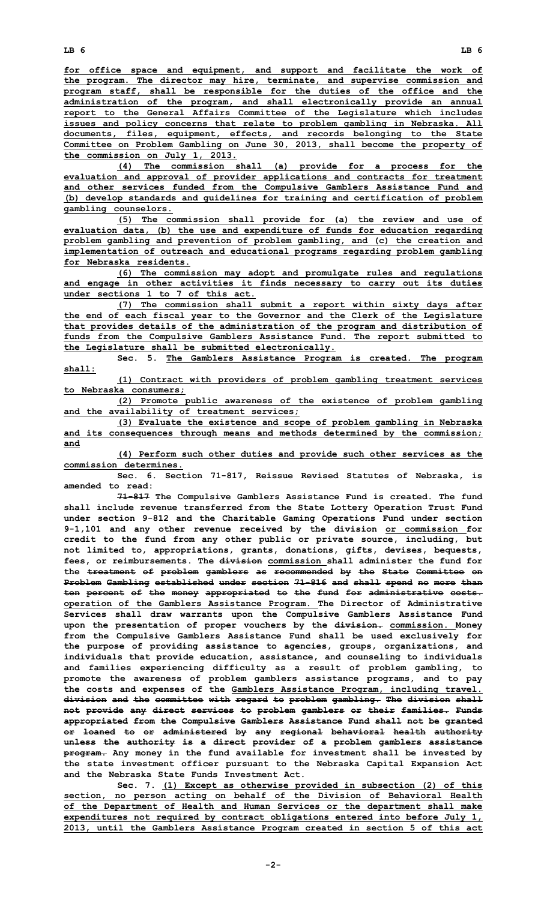**for office space and equipment, and support and facilitate the work of the program. The director may hire, terminate, and supervise commission and program staff, shall be responsible for the duties of the office and the administration of the program, and shall electronically provide an annual report to the General Affairs Committee of the Legislature which includes issues and policy concerns that relate to problem gambling in Nebraska. All documents, files, equipment, effects, and records belonging to the State Committee on Problem Gambling on June 30, 2013, shall become the property of the commission on July 1, 2013.**

**(4) The commission shall (a) provide for <sup>a</sup> process for the evaluation and approval of provider applications and contracts for treatment and other services funded from the Compulsive Gamblers Assistance Fund and (b) develop standards and guidelines for training and certification of problem gambling counselors.**

**(5) The commission shall provide for (a) the review and use of evaluation data, (b) the use and expenditure of funds for education regarding problem gambling and prevention of problem gambling, and (c) the creation and implementation of outreach and educational programs regarding problem gambling for Nebraska residents.**

**(6) The commission may adopt and promulgate rules and regulations and engage in other activities it finds necessary to carry out its duties under sections 1 to 7 of this act.**

**(7) The commission shall submit <sup>a</sup> report within sixty days after the end of each fiscal year to the Governor and the Clerk of the Legislature that provides details of the administration of the program and distribution of funds from the Compulsive Gamblers Assistance Fund. The report submitted to the Legislature shall be submitted electronically.**

**Sec. 5. The Gamblers Assistance Program is created. The program shall:**

**(1) Contract with providers of problem gambling treatment services to Nebraska consumers;**

**(2) Promote public awareness of the existence of problem gambling and the availability of treatment services;**

**(3) Evaluate the existence and scope of problem gambling in Nebraska and its consequences through means and methods determined by the commission; and**

**(4) Perform such other duties and provide such other services as the commission determines.**

**Sec. 6. Section 71-817, Reissue Revised Statutes of Nebraska, is amended to read:**

**71-817 The Compulsive Gamblers Assistance Fund is created. The fund shall include revenue transferred from the State Lottery Operation Trust Fund under section 9-812 and the Charitable Gaming Operations Fund under section 9-1,101 and any other revenue received by the division or commission for credit to the fund from any other public or private source, including, but not limited to, appropriations, grants, donations, gifts, devises, bequests, fees, or reimbursements. The division commission shall administer the fund for the treatment of problem gamblers as recommended by the State Committee on Problem Gambling established under section 71-816 and shall spend no more than ten percent of the money appropriated to the fund for administrative costs. operation of the Gamblers Assistance Program. The Director of Administrative Services shall draw warrants upon the Compulsive Gamblers Assistance Fund upon the presentation of proper vouchers by the division. commission. Money from the Compulsive Gamblers Assistance Fund shall be used exclusively for the purpose of providing assistance to agencies, groups, organizations, and individuals that provide education, assistance, and counseling to individuals and families experiencing difficulty as <sup>a</sup> result of problem gambling, to promote the awareness of problem gamblers assistance programs, and to pay the costs and expenses of the Gamblers Assistance Program, including travel. division and the committee with regard to problem gambling. The division shall not provide any direct services to problem gamblers or their families. Funds appropriated from the Compulsive Gamblers Assistance Fund shall not be granted or loaned to or administered by any regional behavioral health authority unless the authority is <sup>a</sup> direct provider of <sup>a</sup> problem gamblers assistance program. Any money in the fund available for investment shall be invested by the state investment officer pursuant to the Nebraska Capital Expansion Act and the Nebraska State Funds Investment Act.**

**Sec. 7. (1) Except as otherwise provided in subsection (2) of this section, no person acting on behalf of the Division of Behavioral Health of the Department of Health and Human Services or the department shall make expenditures not required by contract obligations entered into before July 1, 2013, until the Gamblers Assistance Program created in section 5 of this act**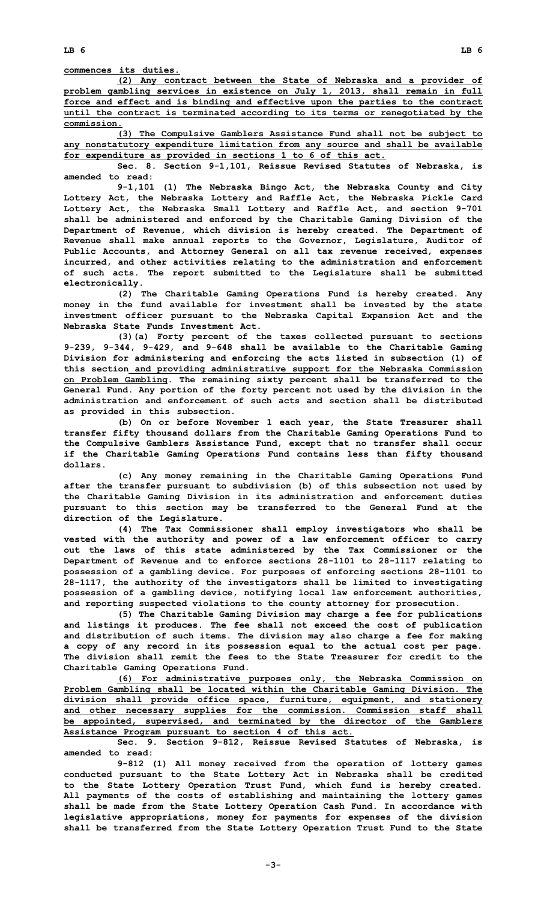**LB 6 LB 6**

**commences its duties.**

**(2) Any contract between the State of Nebraska and <sup>a</sup> provider of problem gambling services in existence on July 1, 2013, shall remain in full force and effect and is binding and effective upon the parties to the contract until the contract is terminated according to its terms or renegotiated by the commission.**

**(3) The Compulsive Gamblers Assistance Fund shall not be subject to any nonstatutory expenditure limitation from any source and shall be available for expenditure as provided in sections 1 to 6 of this act.**

**Sec. 8. Section 9-1,101, Reissue Revised Statutes of Nebraska, is amended to read:**

**9-1,101 (1) The Nebraska Bingo Act, the Nebraska County and City Lottery Act, the Nebraska Lottery and Raffle Act, the Nebraska Pickle Card Lottery Act, the Nebraska Small Lottery and Raffle Act, and section 9-701 shall be administered and enforced by the Charitable Gaming Division of the Department of Revenue, which division is hereby created. The Department of Revenue shall make annual reports to the Governor, Legislature, Auditor of Public Accounts, and Attorney General on all tax revenue received, expenses incurred, and other activities relating to the administration and enforcement of such acts. The report submitted to the Legislature shall be submitted electronically.**

**(2) The Charitable Gaming Operations Fund is hereby created. Any money in the fund available for investment shall be invested by the state investment officer pursuant to the Nebraska Capital Expansion Act and the Nebraska State Funds Investment Act.**

**(3)(a) Forty percent of the taxes collected pursuant to sections 9-239, 9-344, 9-429, and 9-648 shall be available to the Charitable Gaming Division for administering and enforcing the acts listed in subsection (1) of this section and providing administrative support for the Nebraska Commission on Problem Gambling. The remaining sixty percent shall be transferred to the General Fund. Any portion of the forty percent not used by the division in the administration and enforcement of such acts and section shall be distributed as provided in this subsection.**

**(b) On or before November 1 each year, the State Treasurer shall transfer fifty thousand dollars from the Charitable Gaming Operations Fund to the Compulsive Gamblers Assistance Fund, except that no transfer shall occur if the Charitable Gaming Operations Fund contains less than fifty thousand dollars.**

**(c) Any money remaining in the Charitable Gaming Operations Fund after the transfer pursuant to subdivision (b) of this subsection not used by the Charitable Gaming Division in its administration and enforcement duties pursuant to this section may be transferred to the General Fund at the direction of the Legislature.**

**(4) The Tax Commissioner shall employ investigators who shall be vested with the authority and power of <sup>a</sup> law enforcement officer to carry out the laws of this state administered by the Tax Commissioner or the Department of Revenue and to enforce sections 28-1101 to 28-1117 relating to possession of <sup>a</sup> gambling device. For purposes of enforcing sections 28-1101 to 28-1117, the authority of the investigators shall be limited to investigating possession of <sup>a</sup> gambling device, notifying local law enforcement authorities, and reporting suspected violations to the county attorney for prosecution.**

**(5) The Charitable Gaming Division may charge <sup>a</sup> fee for publications and listings it produces. The fee shall not exceed the cost of publication and distribution of such items. The division may also charge <sup>a</sup> fee for making <sup>a</sup> copy of any record in its possession equal to the actual cost per page. The division shall remit the fees to the State Treasurer for credit to the Charitable Gaming Operations Fund.**

**(6) For administrative purposes only, the Nebraska Commission on Problem Gambling shall be located within the Charitable Gaming Division. The division shall provide office space, furniture, equipment, and stationery and other necessary supplies for the commission. Commission staff shall be appointed, supervised, and terminated by the director of the Gamblers Assistance Program pursuant to section 4 of this act.**

**Sec. 9. Section 9-812, Reissue Revised Statutes of Nebraska, is amended to read:**

**9-812 (1) All money received from the operation of lottery games conducted pursuant to the State Lottery Act in Nebraska shall be credited to the State Lottery Operation Trust Fund, which fund is hereby created. All payments of the costs of establishing and maintaining the lottery games shall be made from the State Lottery Operation Cash Fund. In accordance with legislative appropriations, money for payments for expenses of the division shall be transferred from the State Lottery Operation Trust Fund to the State**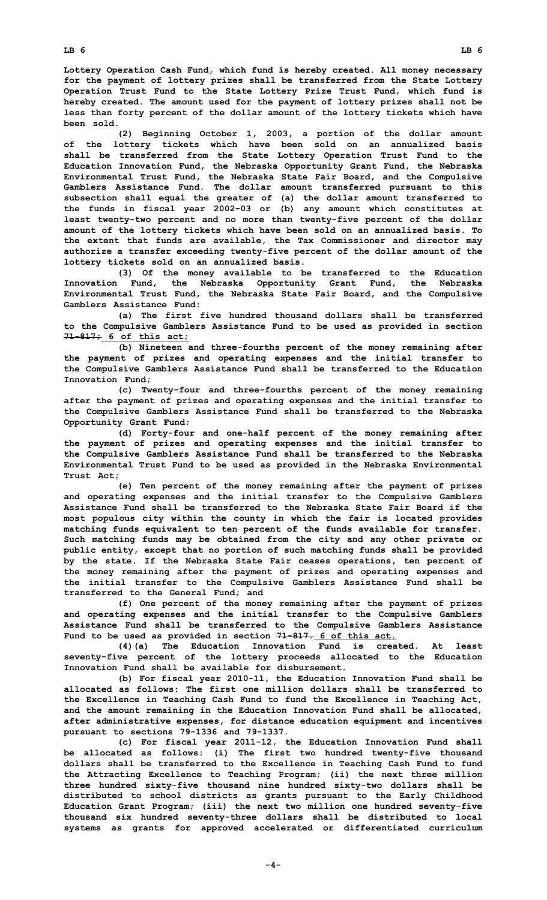**Lottery Operation Cash Fund, which fund is hereby created. All money necessary for the payment of lottery prizes shall be transferred from the State Lottery Operation Trust Fund to the State Lottery Prize Trust Fund, which fund is hereby created. The amount used for the payment of lottery prizes shall not be less than forty percent of the dollar amount of the lottery tickets which have been sold.**

**(2) Beginning October 1, 2003, <sup>a</sup> portion of the dollar amount of the lottery tickets which have been sold on an annualized basis shall be transferred from the State Lottery Operation Trust Fund to the Education Innovation Fund, the Nebraska Opportunity Grant Fund, the Nebraska Environmental Trust Fund, the Nebraska State Fair Board, and the Compulsive Gamblers Assistance Fund. The dollar amount transferred pursuant to this subsection shall equal the greater of (a) the dollar amount transferred to the funds in fiscal year 2002-03 or (b) any amount which constitutes at least twenty-two percent and no more than twenty-five percent of the dollar amount of the lottery tickets which have been sold on an annualized basis. To the extent that funds are available, the Tax Commissioner and director may authorize <sup>a</sup> transfer exceeding twenty-five percent of the dollar amount of the lottery tickets sold on an annualized basis.**

**(3) Of the money available to be transferred to the Education Innovation Fund, the Nebraska Opportunity Grant Fund, the Nebraska Environmental Trust Fund, the Nebraska State Fair Board, and the Compulsive Gamblers Assistance Fund:**

**(a) The first five hundred thousand dollars shall be transferred to the Compulsive Gamblers Assistance Fund to be used as provided in section 71-817; 6 of this act;**

**(b) Nineteen and three-fourths percent of the money remaining after the payment of prizes and operating expenses and the initial transfer to the Compulsive Gamblers Assistance Fund shall be transferred to the Education Innovation Fund;**

**(c) Twenty-four and three-fourths percent of the money remaining after the payment of prizes and operating expenses and the initial transfer to the Compulsive Gamblers Assistance Fund shall be transferred to the Nebraska Opportunity Grant Fund;**

**(d) Forty-four and one-half percent of the money remaining after the payment of prizes and operating expenses and the initial transfer to the Compulsive Gamblers Assistance Fund shall be transferred to the Nebraska Environmental Trust Fund to be used as provided in the Nebraska Environmental Trust Act;**

**(e) Ten percent of the money remaining after the payment of prizes and operating expenses and the initial transfer to the Compulsive Gamblers Assistance Fund shall be transferred to the Nebraska State Fair Board if the most populous city within the county in which the fair is located provides matching funds equivalent to ten percent of the funds available for transfer. Such matching funds may be obtained from the city and any other private or public entity, except that no portion of such matching funds shall be provided by the state. If the Nebraska State Fair ceases operations, ten percent of the money remaining after the payment of prizes and operating expenses and the initial transfer to the Compulsive Gamblers Assistance Fund shall be transferred to the General Fund; and**

**(f) One percent of the money remaining after the payment of prizes and operating expenses and the initial transfer to the Compulsive Gamblers Assistance Fund shall be transferred to the Compulsive Gamblers Assistance Fund to be used as provided in section 71-817. 6 of this act.**

**(4)(a) The Education Innovation Fund is created. At least seventy-five percent of the lottery proceeds allocated to the Education Innovation Fund shall be available for disbursement.**

**(b) For fiscal year 2010-11, the Education Innovation Fund shall be allocated as follows: The first one million dollars shall be transferred to the Excellence in Teaching Cash Fund to fund the Excellence in Teaching Act, and the amount remaining in the Education Innovation Fund shall be allocated, after administrative expenses, for distance education equipment and incentives pursuant to sections 79-1336 and 79-1337.**

**(c) For fiscal year 2011-12, the Education Innovation Fund shall be allocated as follows: (i) The first two hundred twenty-five thousand dollars shall be transferred to the Excellence in Teaching Cash Fund to fund the Attracting Excellence to Teaching Program; (ii) the next three million three hundred sixty-five thousand nine hundred sixty-two dollars shall be distributed to school districts as grants pursuant to the Early Childhood Education Grant Program; (iii) the next two million one hundred seventy-five thousand six hundred seventy-three dollars shall be distributed to local systems as grants for approved accelerated or differentiated curriculum**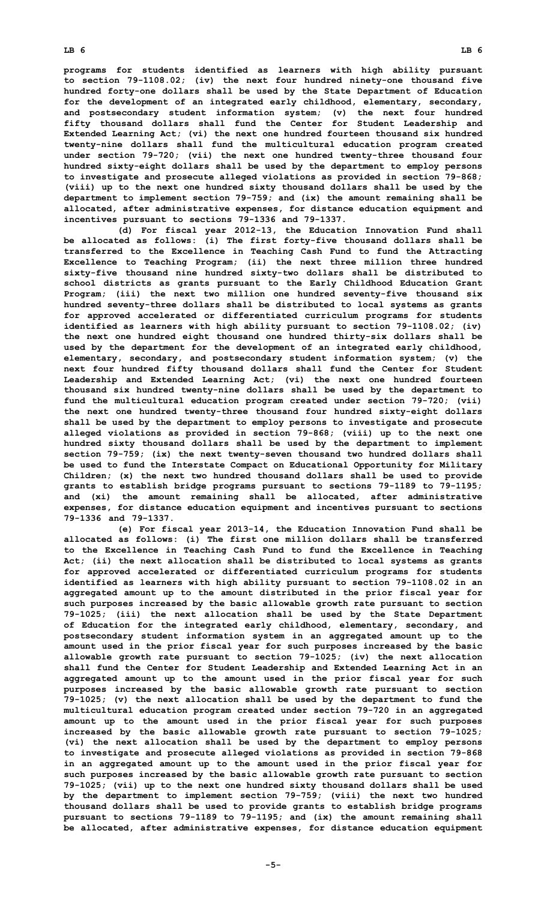**programs for students identified as learners with high ability pursuant to section 79-1108.02; (iv) the next four hundred ninety-one thousand five hundred forty-one dollars shall be used by the State Department of Education for the development of an integrated early childhood, elementary, secondary, and postsecondary student information system; (v) the next four hundred fifty thousand dollars shall fund the Center for Student Leadership and Extended Learning Act; (vi) the next one hundred fourteen thousand six hundred twenty-nine dollars shall fund the multicultural education program created under section 79-720; (vii) the next one hundred twenty-three thousand four hundred sixty-eight dollars shall be used by the department to employ persons to investigate and prosecute alleged violations as provided in section 79-868; (viii) up to the next one hundred sixty thousand dollars shall be used by the department to implement section 79-759; and (ix) the amount remaining shall be allocated, after administrative expenses, for distance education equipment and incentives pursuant to sections 79-1336 and 79-1337.**

**(d) For fiscal year 2012-13, the Education Innovation Fund shall be allocated as follows: (i) The first forty-five thousand dollars shall be transferred to the Excellence in Teaching Cash Fund to fund the Attracting Excellence to Teaching Program; (ii) the next three million three hundred sixty-five thousand nine hundred sixty-two dollars shall be distributed to school districts as grants pursuant to the Early Childhood Education Grant Program; (iii) the next two million one hundred seventy-five thousand six hundred seventy-three dollars shall be distributed to local systems as grants for approved accelerated or differentiated curriculum programs for students identified as learners with high ability pursuant to section 79-1108.02; (iv) the next one hundred eight thousand one hundred thirty-six dollars shall be used by the department for the development of an integrated early childhood, elementary, secondary, and postsecondary student information system; (v) the next four hundred fifty thousand dollars shall fund the Center for Student Leadership and Extended Learning Act; (vi) the next one hundred fourteen thousand six hundred twenty-nine dollars shall be used by the department to fund the multicultural education program created under section 79-720; (vii) the next one hundred twenty-three thousand four hundred sixty-eight dollars shall be used by the department to employ persons to investigate and prosecute alleged violations as provided in section 79-868; (viii) up to the next one hundred sixty thousand dollars shall be used by the department to implement section 79-759; (ix) the next twenty-seven thousand two hundred dollars shall be used to fund the Interstate Compact on Educational Opportunity for Military Children; (x) the next two hundred thousand dollars shall be used to provide grants to establish bridge programs pursuant to sections 79-1189 to 79-1195; and (xi) the amount remaining shall be allocated, after administrative expenses, for distance education equipment and incentives pursuant to sections 79-1336 and 79-1337.**

**(e) For fiscal year 2013-14, the Education Innovation Fund shall be allocated as follows: (i) The first one million dollars shall be transferred to the Excellence in Teaching Cash Fund to fund the Excellence in Teaching Act; (ii) the next allocation shall be distributed to local systems as grants for approved accelerated or differentiated curriculum programs for students identified as learners with high ability pursuant to section 79-1108.02 in an aggregated amount up to the amount distributed in the prior fiscal year for such purposes increased by the basic allowable growth rate pursuant to section 79-1025; (iii) the next allocation shall be used by the State Department of Education for the integrated early childhood, elementary, secondary, and postsecondary student information system in an aggregated amount up to the amount used in the prior fiscal year for such purposes increased by the basic allowable growth rate pursuant to section 79-1025; (iv) the next allocation shall fund the Center for Student Leadership and Extended Learning Act in an aggregated amount up to the amount used in the prior fiscal year for such purposes increased by the basic allowable growth rate pursuant to section 79-1025; (v) the next allocation shall be used by the department to fund the multicultural education program created under section 79-720 in an aggregated amount up to the amount used in the prior fiscal year for such purposes increased by the basic allowable growth rate pursuant to section 79-1025; (vi) the next allocation shall be used by the department to employ persons to investigate and prosecute alleged violations as provided in section 79-868 in an aggregated amount up to the amount used in the prior fiscal year for such purposes increased by the basic allowable growth rate pursuant to section 79-1025; (vii) up to the next one hundred sixty thousand dollars shall be used by the department to implement section 79-759; (viii) the next two hundred thousand dollars shall be used to provide grants to establish bridge programs pursuant to sections 79-1189 to 79-1195; and (ix) the amount remaining shall be allocated, after administrative expenses, for distance education equipment**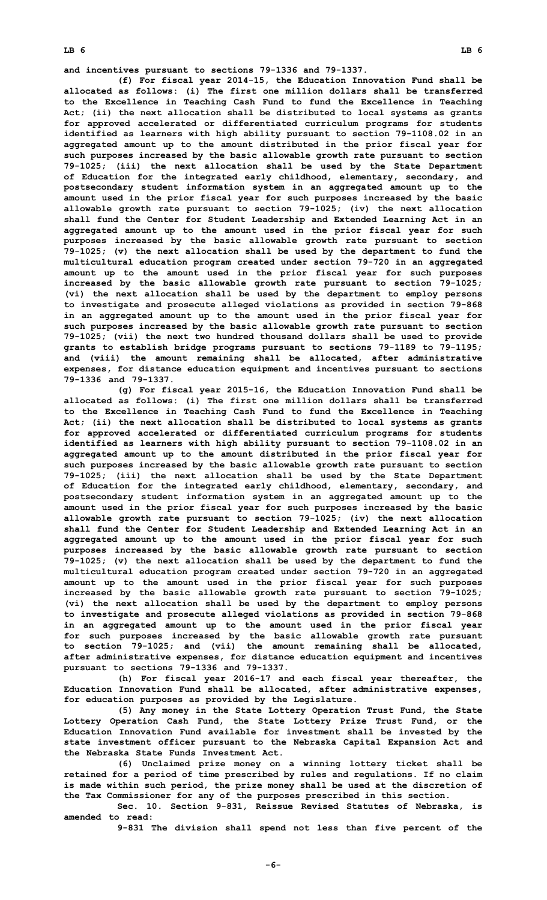**and incentives pursuant to sections 79-1336 and 79-1337.**

**(f) For fiscal year 2014-15, the Education Innovation Fund shall be allocated as follows: (i) The first one million dollars shall be transferred to the Excellence in Teaching Cash Fund to fund the Excellence in Teaching Act; (ii) the next allocation shall be distributed to local systems as grants for approved accelerated or differentiated curriculum programs for students identified as learners with high ability pursuant to section 79-1108.02 in an aggregated amount up to the amount distributed in the prior fiscal year for such purposes increased by the basic allowable growth rate pursuant to section 79-1025; (iii) the next allocation shall be used by the State Department of Education for the integrated early childhood, elementary, secondary, and postsecondary student information system in an aggregated amount up to the amount used in the prior fiscal year for such purposes increased by the basic allowable growth rate pursuant to section 79-1025; (iv) the next allocation shall fund the Center for Student Leadership and Extended Learning Act in an aggregated amount up to the amount used in the prior fiscal year for such purposes increased by the basic allowable growth rate pursuant to section 79-1025; (v) the next allocation shall be used by the department to fund the multicultural education program created under section 79-720 in an aggregated amount up to the amount used in the prior fiscal year for such purposes increased by the basic allowable growth rate pursuant to section 79-1025; (vi) the next allocation shall be used by the department to employ persons to investigate and prosecute alleged violations as provided in section 79-868 in an aggregated amount up to the amount used in the prior fiscal year for such purposes increased by the basic allowable growth rate pursuant to section 79-1025; (vii) the next two hundred thousand dollars shall be used to provide grants to establish bridge programs pursuant to sections 79-1189 to 79-1195; and (viii) the amount remaining shall be allocated, after administrative expenses, for distance education equipment and incentives pursuant to sections 79-1336 and 79-1337.**

**(g) For fiscal year 2015-16, the Education Innovation Fund shall be allocated as follows: (i) The first one million dollars shall be transferred to the Excellence in Teaching Cash Fund to fund the Excellence in Teaching Act; (ii) the next allocation shall be distributed to local systems as grants for approved accelerated or differentiated curriculum programs for students identified as learners with high ability pursuant to section 79-1108.02 in an aggregated amount up to the amount distributed in the prior fiscal year for such purposes increased by the basic allowable growth rate pursuant to section 79-1025; (iii) the next allocation shall be used by the State Department of Education for the integrated early childhood, elementary, secondary, and postsecondary student information system in an aggregated amount up to the amount used in the prior fiscal year for such purposes increased by the basic allowable growth rate pursuant to section 79-1025; (iv) the next allocation shall fund the Center for Student Leadership and Extended Learning Act in an aggregated amount up to the amount used in the prior fiscal year for such purposes increased by the basic allowable growth rate pursuant to section 79-1025; (v) the next allocation shall be used by the department to fund the multicultural education program created under section 79-720 in an aggregated amount up to the amount used in the prior fiscal year for such purposes increased by the basic allowable growth rate pursuant to section 79-1025; (vi) the next allocation shall be used by the department to employ persons to investigate and prosecute alleged violations as provided in section 79-868 in an aggregated amount up to the amount used in the prior fiscal year for such purposes increased by the basic allowable growth rate pursuant to section 79-1025; and (vii) the amount remaining shall be allocated, after administrative expenses, for distance education equipment and incentives pursuant to sections 79-1336 and 79-1337.**

**(h) For fiscal year 2016-17 and each fiscal year thereafter, the Education Innovation Fund shall be allocated, after administrative expenses, for education purposes as provided by the Legislature.**

**(5) Any money in the State Lottery Operation Trust Fund, the State Lottery Operation Cash Fund, the State Lottery Prize Trust Fund, or the Education Innovation Fund available for investment shall be invested by the state investment officer pursuant to the Nebraska Capital Expansion Act and the Nebraska State Funds Investment Act.**

**(6) Unclaimed prize money on <sup>a</sup> winning lottery ticket shall be retained for <sup>a</sup> period of time prescribed by rules and regulations. If no claim is made within such period, the prize money shall be used at the discretion of the Tax Commissioner for any of the purposes prescribed in this section.**

**Sec. 10. Section 9-831, Reissue Revised Statutes of Nebraska, is amended to read:**

**9-831 The division shall spend not less than five percent of the**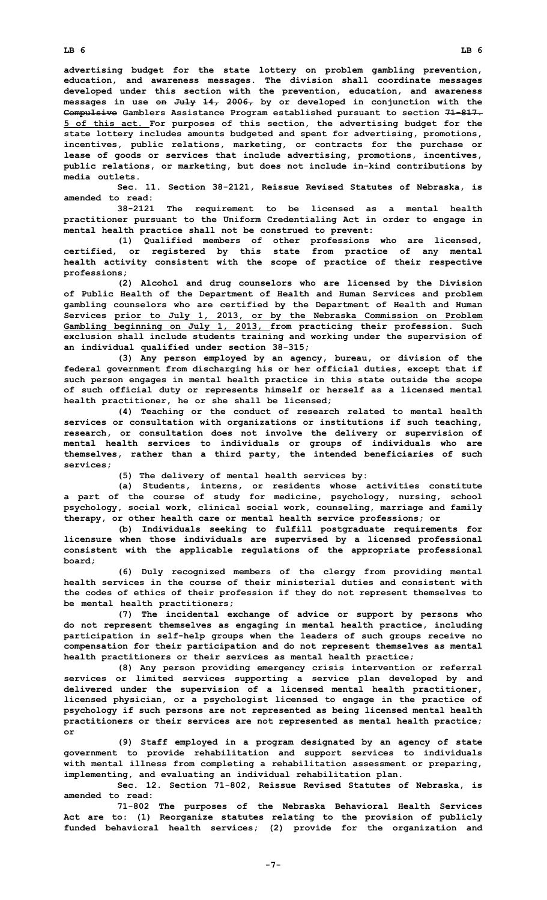**LB 6 LB 6**

**advertising budget for the state lottery on problem gambling prevention, education, and awareness messages. The division shall coordinate messages developed under this section with the prevention, education, and awareness messages in use on July 14, 2006, by or developed in conjunction with the Compulsive Gamblers Assistance Program established pursuant to section 71-817. 5 of this act. For purposes of this section, the advertising budget for the state lottery includes amounts budgeted and spent for advertising, promotions, incentives, public relations, marketing, or contracts for the purchase or lease of goods or services that include advertising, promotions, incentives, public relations, or marketing, but does not include in-kind contributions by media outlets.**

**Sec. 11. Section 38-2121, Reissue Revised Statutes of Nebraska, is amended to read:**

**38-2121 The requirement to be licensed as <sup>a</sup> mental health practitioner pursuant to the Uniform Credentialing Act in order to engage in mental health practice shall not be construed to prevent:**

**(1) Qualified members of other professions who are licensed, certified, or registered by this state from practice of any mental health activity consistent with the scope of practice of their respective professions;**

**(2) Alcohol and drug counselors who are licensed by the Division of Public Health of the Department of Health and Human Services and problem gambling counselors who are certified by the Department of Health and Human Services prior to July 1, 2013, or by the Nebraska Commission on Problem Gambling beginning on July 1, 2013, from practicing their profession. Such exclusion shall include students training and working under the supervision of an individual qualified under section 38-315;**

**(3) Any person employed by an agency, bureau, or division of the federal government from discharging his or her official duties, except that if such person engages in mental health practice in this state outside the scope of such official duty or represents himself or herself as <sup>a</sup> licensed mental health practitioner, he or she shall be licensed;**

**(4) Teaching or the conduct of research related to mental health services or consultation with organizations or institutions if such teaching, research, or consultation does not involve the delivery or supervision of mental health services to individuals or groups of individuals who are themselves, rather than <sup>a</sup> third party, the intended beneficiaries of such services;**

**(5) The delivery of mental health services by:**

**(a) Students, interns, or residents whose activities constitute <sup>a</sup> part of the course of study for medicine, psychology, nursing, school psychology, social work, clinical social work, counseling, marriage and family therapy, or other health care or mental health service professions; or**

**(b) Individuals seeking to fulfill postgraduate requirements for licensure when those individuals are supervised by <sup>a</sup> licensed professional consistent with the applicable regulations of the appropriate professional board;**

**(6) Duly recognized members of the clergy from providing mental health services in the course of their ministerial duties and consistent with the codes of ethics of their profession if they do not represent themselves to be mental health practitioners;**

**(7) The incidental exchange of advice or support by persons who do not represent themselves as engaging in mental health practice, including participation in self-help groups when the leaders of such groups receive no compensation for their participation and do not represent themselves as mental health practitioners or their services as mental health practice;**

**(8) Any person providing emergency crisis intervention or referral services or limited services supporting <sup>a</sup> service plan developed by and delivered under the supervision of <sup>a</sup> licensed mental health practitioner, licensed physician, or <sup>a</sup> psychologist licensed to engage in the practice of psychology if such persons are not represented as being licensed mental health practitioners or their services are not represented as mental health practice; or**

**(9) Staff employed in <sup>a</sup> program designated by an agency of state government to provide rehabilitation and support services to individuals with mental illness from completing <sup>a</sup> rehabilitation assessment or preparing, implementing, and evaluating an individual rehabilitation plan.**

**Sec. 12. Section 71-802, Reissue Revised Statutes of Nebraska, is amended to read:**

**71-802 The purposes of the Nebraska Behavioral Health Services Act are to: (1) Reorganize statutes relating to the provision of publicly funded behavioral health services; (2) provide for the organization and**